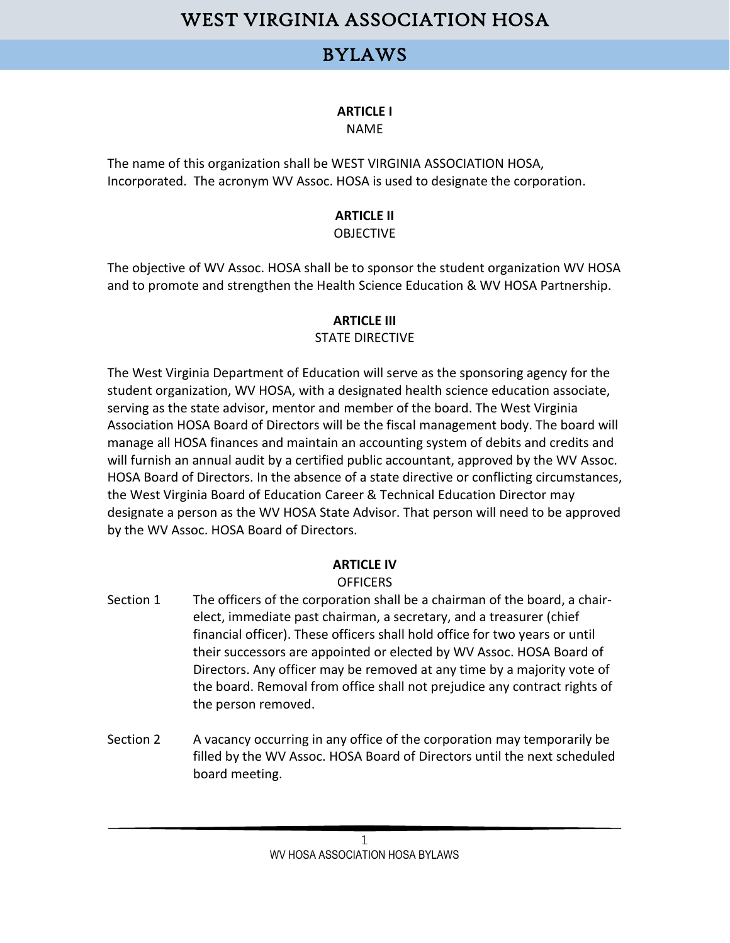### BYLAWS

### **ARTICLE I**

#### NAME

The name of this organization shall be WEST VIRGINIA ASSOCIATION HOSA, Incorporated. The acronym WV Assoc. HOSA is used to designate the corporation.

#### **ARTICLE II OBJECTIVE**

The objective of WV Assoc. HOSA shall be to sponsor the student organization WV HOSA and to promote and strengthen the Health Science Education & WV HOSA Partnership.

### **ARTICLE III**

### STATE DIRECTIVE

The West Virginia Department of Education will serve as the sponsoring agency for the student organization, WV HOSA, with a designated health science education associate, serving as the state advisor, mentor and member of the board. The West Virginia Association HOSA Board of Directors will be the fiscal management body. The board will manage all HOSA finances and maintain an accounting system of debits and credits and will furnish an annual audit by a certified public accountant, approved by the WV Assoc. HOSA Board of Directors. In the absence of a state directive or conflicting circumstances, the West Virginia Board of Education Career & Technical Education Director may designate a person as the WV HOSA State Advisor. That person will need to be approved by the WV Assoc. HOSA Board of Directors.

### **ARTICLE IV**

#### **OFFICERS**

- Section 1 The officers of the corporation shall be a chairman of the board, a chairelect, immediate past chairman, a secretary, and a treasurer (chief financial officer). These officers shall hold office for two years or until their successors are appointed or elected by WV Assoc. HOSA Board of Directors. Any officer may be removed at any time by a majority vote of the board. Removal from office shall not prejudice any contract rights of the person removed.
- Section 2 A vacancy occurring in any office of the corporation may temporarily be filled by the WV Assoc. HOSA Board of Directors until the next scheduled board meeting.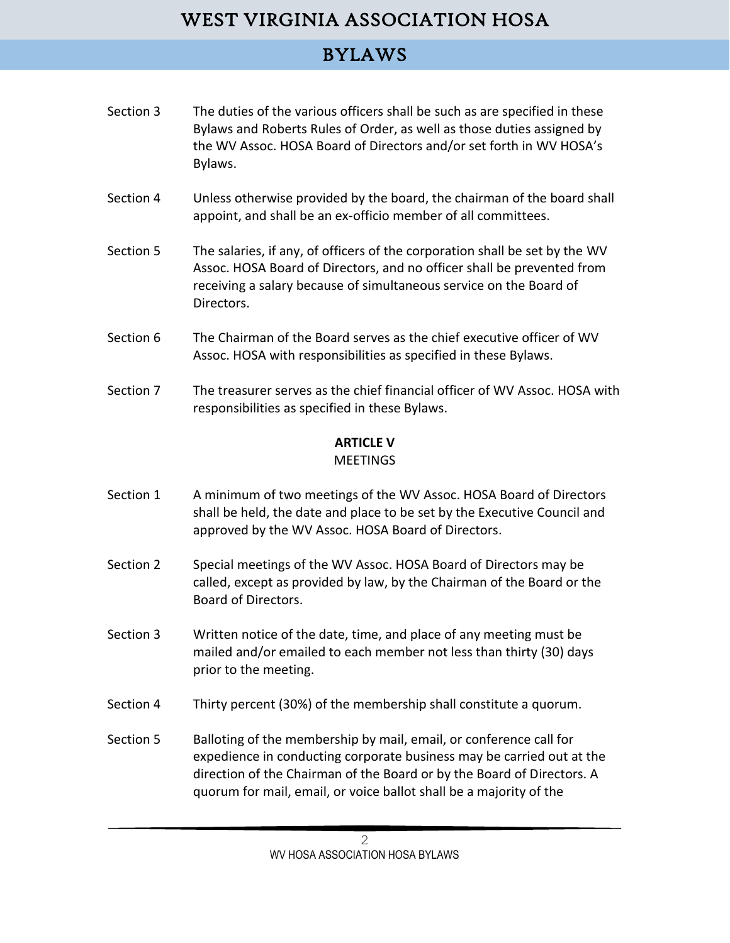# BYLAWS

- Section 3 The duties of the various officers shall be such as are specified in these Bylaws and Roberts Rules of Order, as well as those duties assigned by the WV Assoc. HOSA Board of Directors and/or set forth in WV HOSA's Bylaws.
- Section 4 Unless otherwise provided by the board, the chairman of the board shall appoint, and shall be an ex-officio member of all committees.
- Section 5 The salaries, if any, of officers of the corporation shall be set by the WV Assoc. HOSA Board of Directors, and no officer shall be prevented from receiving a salary because of simultaneous service on the Board of Directors.
- Section 6 The Chairman of the Board serves as the chief executive officer of WV Assoc. HOSA with responsibilities as specified in these Bylaws.
- Section 7 The treasurer serves as the chief financial officer of WV Assoc. HOSA with responsibilities as specified in these Bylaws.

### **ARTICLE V**

#### MEETINGS

- Section 1 A minimum of two meetings of the WV Assoc. HOSA Board of Directors shall be held, the date and place to be set by the Executive Council and approved by the WV Assoc. HOSA Board of Directors.
- Section 2 Special meetings of the WV Assoc. HOSA Board of Directors may be called, except as provided by law, by the Chairman of the Board or the Board of Directors.
- Section 3 Written notice of the date, time, and place of any meeting must be mailed and/or emailed to each member not less than thirty (30) days prior to the meeting.
- Section 4 Thirty percent (30%) of the membership shall constitute a quorum.
- Section 5 Balloting of the membership by mail, email, or conference call for expedience in conducting corporate business may be carried out at the direction of the Chairman of the Board or by the Board of Directors. A quorum for mail, email, or voice ballot shall be a majority of the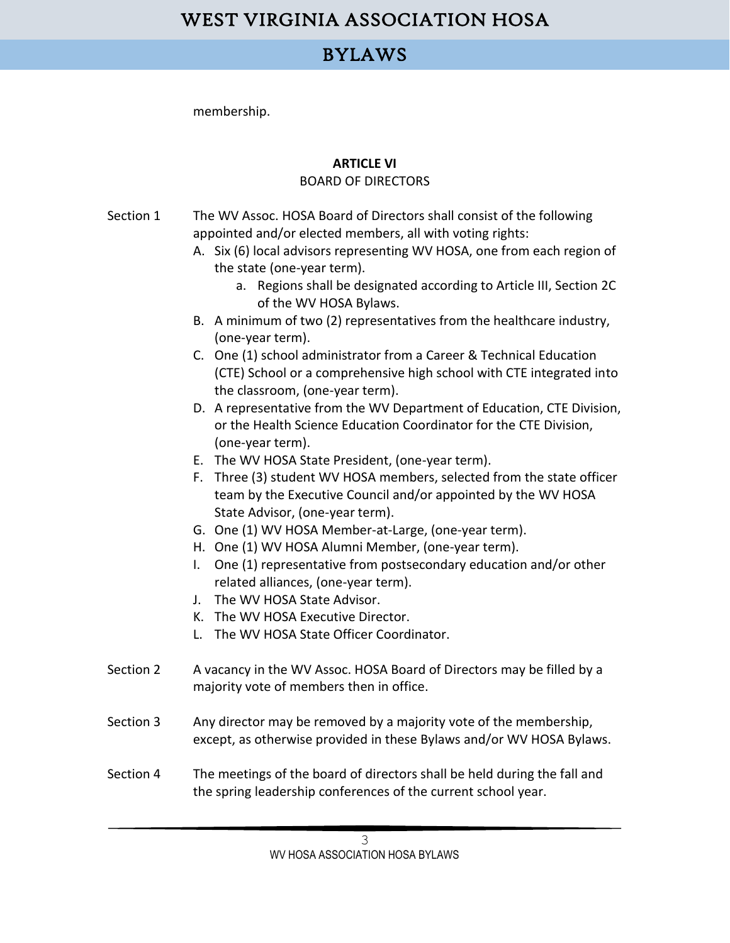### BYLAWS

membership.

### **ARTICLE VI**

### BOARD OF DIRECTORS

- Section 1 The WV Assoc. HOSA Board of Directors shall consist of the following appointed and/or elected members, all with voting rights:
	- A. Six (6) local advisors representing WV HOSA, one from each region of the state (one-year term).
		- a. Regions shall be designated according to Article III, Section 2C of the WV HOSA Bylaws.
	- B. A minimum of two (2) representatives from the healthcare industry, (one-year term).
	- C. One (1) school administrator from a Career & Technical Education (CTE) School or a comprehensive high school with CTE integrated into the classroom, (one-year term).
	- D. A representative from the WV Department of Education, CTE Division, or the Health Science Education Coordinator for the CTE Division, (one-year term).
	- E. The WV HOSA State President, (one-year term).
	- F. Three (3) student WV HOSA members, selected from the state officer team by the Executive Council and/or appointed by the WV HOSA State Advisor, (one-year term).
	- G. One (1) WV HOSA Member-at-Large, (one-year term).
	- H. One (1) WV HOSA Alumni Member, (one-year term).
	- I. One (1) representative from postsecondary education and/or other related alliances, (one-year term).
	- J. The WV HOSA State Advisor.
	- K. The WV HOSA Executive Director.
	- L. The WV HOSA State Officer Coordinator.
- Section 2 A vacancy in the WV Assoc. HOSA Board of Directors may be filled by a majority vote of members then in office.
- Section 3 Any director may be removed by a majority vote of the membership, except, as otherwise provided in these Bylaws and/or WV HOSA Bylaws.
- Section 4 The meetings of the board of directors shall be held during the fall and the spring leadership conferences of the current school year.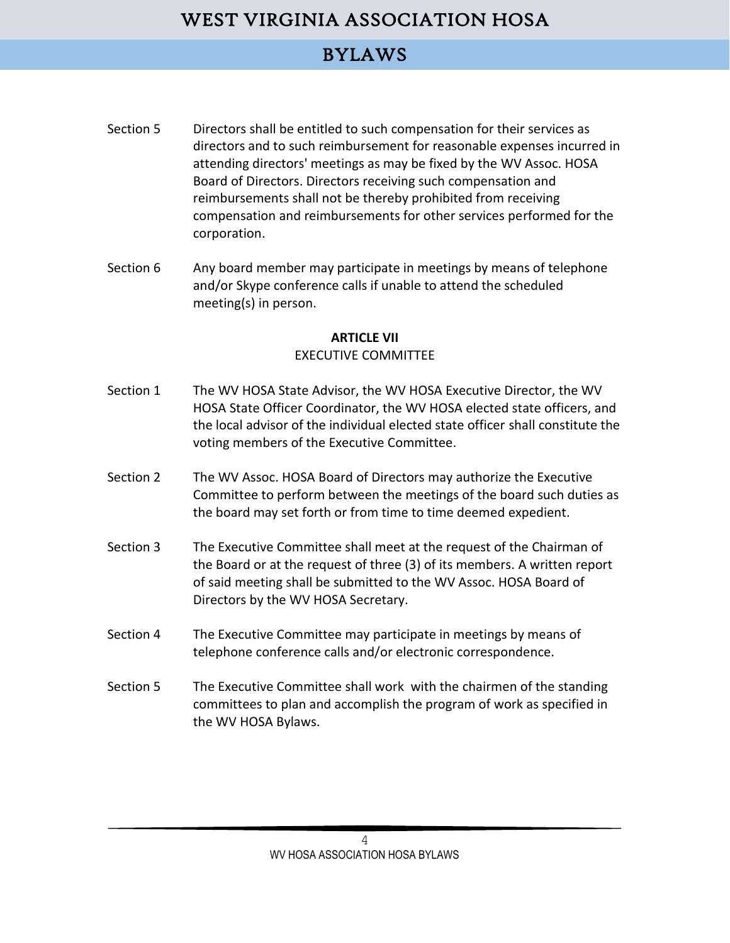## BYLAWS

- Section 5 Directors shall be entitled to such compensation for their services as directors and to such reimbursement for reasonable expenses incurred in attending directors' meetings as may be fixed by the WV Assoc. HOSA Board of Directors. Directors receiving such compensation and reimbursements shall not be thereby prohibited from receiving compensation and reimbursements for other services performed for the corporation.
- Section 6 Any board member may participate in meetings by means of telephone and/or Skype conference calls if unable to attend the scheduled meeting(s) in person.

#### **ARTICLE VII**

#### EXECUTIVE COMMITTEE

- Section 1 The WV HOSA State Advisor, the WV HOSA Executive Director, the WV HOSA State Officer Coordinator, the WV HOSA elected state officers, and the local advisor of the individual elected state officer shall constitute the voting members of the Executive Committee.
- Section 2 The WV Assoc. HOSA Board of Directors may authorize the Executive Committee to perform between the meetings of the board such duties as the board may set forth or from time to time deemed expedient.
- Section 3 The Executive Committee shall meet at the request of the Chairman of the Board or at the request of three (3) of its members. A written report of said meeting shall be submitted to the WV Assoc. HOSA Board of Directors by the WV HOSA Secretary.
- Section 4 The Executive Committee may participate in meetings by means of telephone conference calls and/or electronic correspondence.
- Section 5 The Executive Committee shall work with the chairmen of the standing committees to plan and accomplish the program of work as specified in the WV HOSA Bylaws.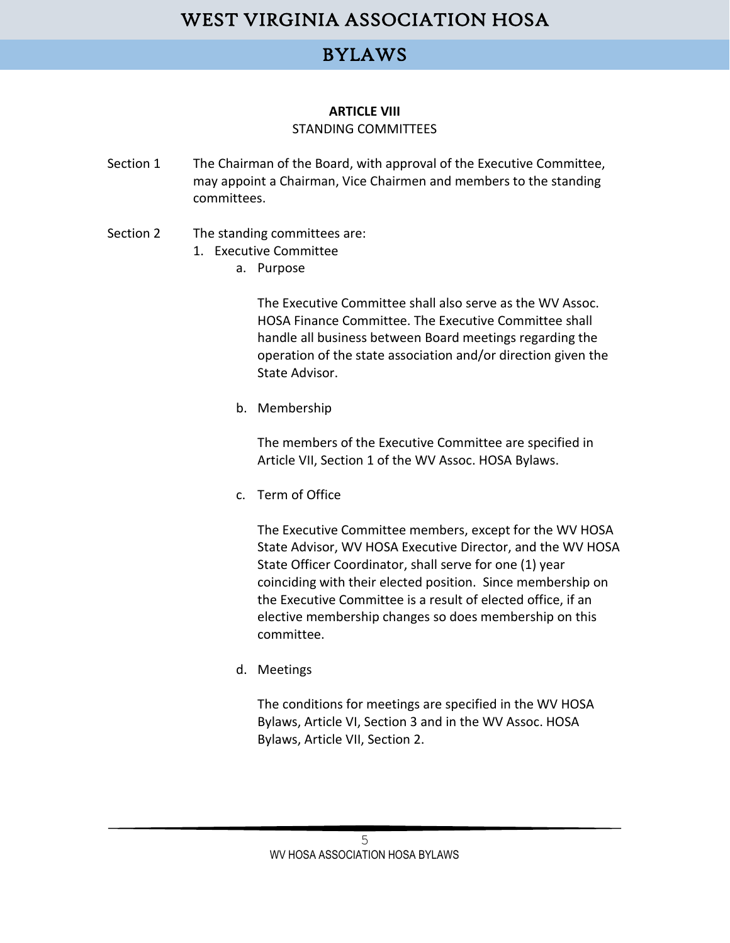### BYLAWS

#### **ARTICLE VIII** STANDING COMMITTEES

- Section 1 The Chairman of the Board, with approval of the Executive Committee, may appoint a Chairman, Vice Chairmen and members to the standing committees.
- Section 2 The standing committees are:
	- 1. Executive Committee
		- a. Purpose

The Executive Committee shall also serve as the WV Assoc. HOSA Finance Committee. The Executive Committee shall handle all business between Board meetings regarding the operation of the state association and/or direction given the State Advisor.

b. Membership

The members of the Executive Committee are specified in Article VII, Section 1 of the WV Assoc. HOSA Bylaws.

c. Term of Office

The Executive Committee members, except for the WV HOSA State Advisor, WV HOSA Executive Director, and the WV HOSA State Officer Coordinator, shall serve for one (1) year coinciding with their elected position. Since membership on the Executive Committee is a result of elected office, if an elective membership changes so does membership on this committee.

d. Meetings

The conditions for meetings are specified in the WV HOSA Bylaws, Article VI, Section 3 and in the WV Assoc. HOSA Bylaws, Article VII, Section 2.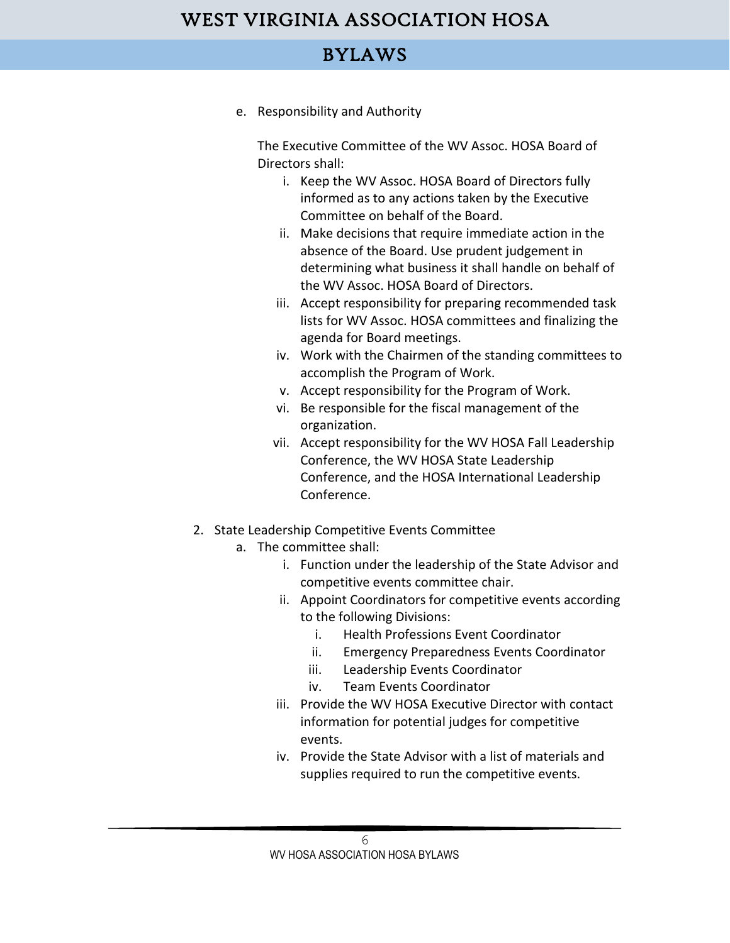### BYLAWS

e. Responsibility and Authority

The Executive Committee of the WV Assoc. HOSA Board of Directors shall:

- i. Keep the WV Assoc. HOSA Board of Directors fully informed as to any actions taken by the Executive Committee on behalf of the Board.
- ii. Make decisions that require immediate action in the absence of the Board. Use prudent judgement in determining what business it shall handle on behalf of the WV Assoc. HOSA Board of Directors.
- iii. Accept responsibility for preparing recommended task lists for WV Assoc. HOSA committees and finalizing the agenda for Board meetings.
- iv. Work with the Chairmen of the standing committees to accomplish the Program of Work.
- v. Accept responsibility for the Program of Work.
- vi. Be responsible for the fiscal management of the organization.
- vii. Accept responsibility for the WV HOSA Fall Leadership Conference, the WV HOSA State Leadership Conference, and the HOSA International Leadership Conference.
- 2. State Leadership Competitive Events Committee
	- a. The committee shall:
		- i. Function under the leadership of the State Advisor and competitive events committee chair.
		- ii. Appoint Coordinators for competitive events according to the following Divisions:
			- i. Health Professions Event Coordinator
			- ii. Emergency Preparedness Events Coordinator
			- iii. Leadership Events Coordinator
			- iv. Team Events Coordinator
		- iii. Provide the WV HOSA Executive Director with contact information for potential judges for competitive events.
		- iv. Provide the State Advisor with a list of materials and supplies required to run the competitive events.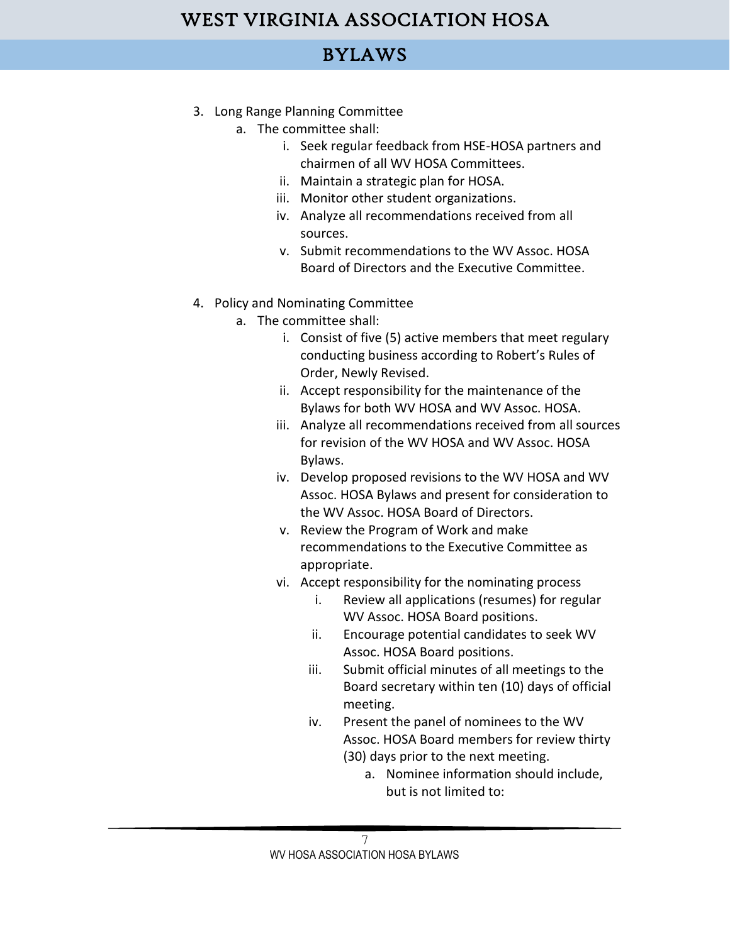## BYLAWS

- 3. Long Range Planning Committee
	- a. The committee shall:
		- i. Seek regular feedback from HSE-HOSA partners and chairmen of all WV HOSA Committees.
		- ii. Maintain a strategic plan for HOSA.
		- iii. Monitor other student organizations.
		- iv. Analyze all recommendations received from all sources.
		- v. Submit recommendations to the WV Assoc. HOSA Board of Directors and the Executive Committee.
- 4. Policy and Nominating Committee
	- a. The committee shall:
		- i. Consist of five (5) active members that meet regulary conducting business according to Robert's Rules of Order, Newly Revised.
		- ii. Accept responsibility for the maintenance of the Bylaws for both WV HOSA and WV Assoc. HOSA.
		- iii. Analyze all recommendations received from all sources for revision of the WV HOSA and WV Assoc. HOSA Bylaws.
		- iv. Develop proposed revisions to the WV HOSA and WV Assoc. HOSA Bylaws and present for consideration to the WV Assoc. HOSA Board of Directors.
		- v. Review the Program of Work and make recommendations to the Executive Committee as appropriate.
		- vi. Accept responsibility for the nominating process
			- i. Review all applications (resumes) for regular WV Assoc. HOSA Board positions.
			- ii. Encourage potential candidates to seek WV Assoc. HOSA Board positions.
			- iii. Submit official minutes of all meetings to the Board secretary within ten (10) days of official meeting.
			- iv. Present the panel of nominees to the WV Assoc. HOSA Board members for review thirty (30) days prior to the next meeting.
				- a. Nominee information should include, but is not limited to:

7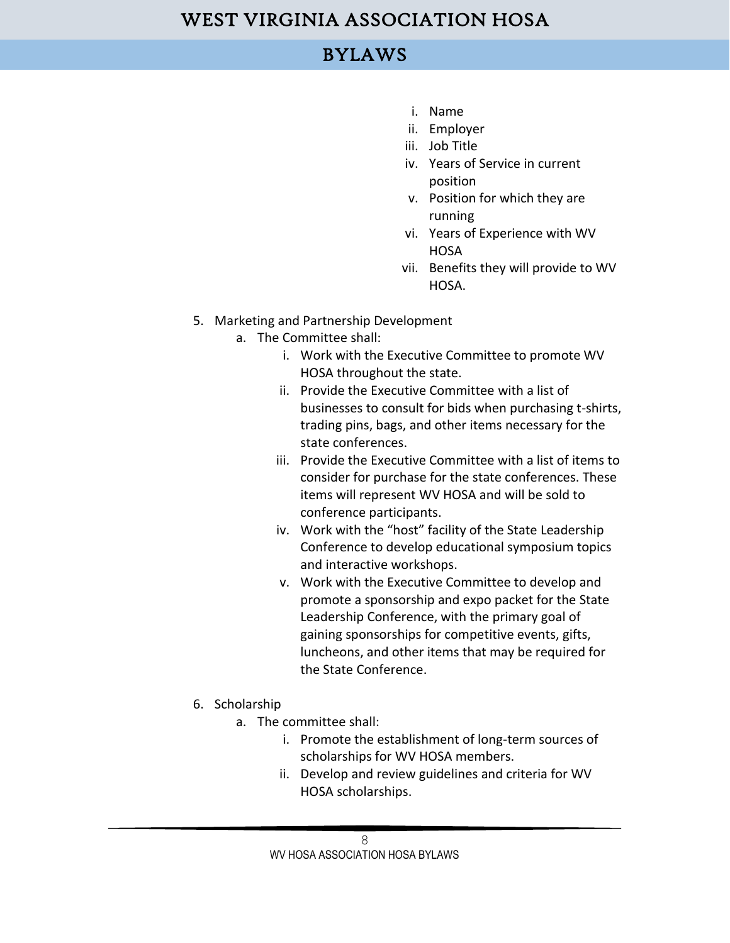### BYLAWS

- i. Name
- ii. Employer
- iii. Job Title
- iv. Years of Service in current position
- v. Position for which they are running
- vi. Years of Experience with WV **HOSA**
- vii. Benefits they will provide to WV HOSA.
- 5. Marketing and Partnership Development
	- a. The Committee shall:
		- i. Work with the Executive Committee to promote WV HOSA throughout the state.
		- ii. Provide the Executive Committee with a list of businesses to consult for bids when purchasing t-shirts, trading pins, bags, and other items necessary for the state conferences.
		- iii. Provide the Executive Committee with a list of items to consider for purchase for the state conferences. These items will represent WV HOSA and will be sold to conference participants.
		- iv. Work with the "host" facility of the State Leadership Conference to develop educational symposium topics and interactive workshops.
		- v. Work with the Executive Committee to develop and promote a sponsorship and expo packet for the State Leadership Conference, with the primary goal of gaining sponsorships for competitive events, gifts, luncheons, and other items that may be required for the State Conference.
- 6. Scholarship
	- a. The committee shall:
		- i. Promote the establishment of long-term sources of scholarships for WV HOSA members.
		- ii. Develop and review guidelines and criteria for WV HOSA scholarships.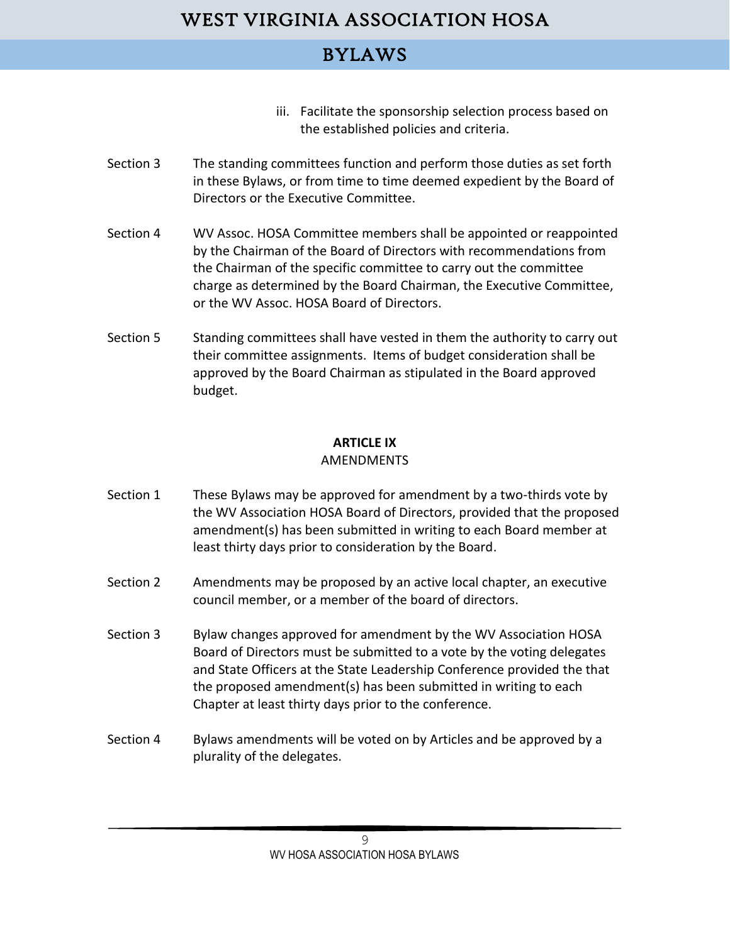### BYLAWS

- iii. Facilitate the sponsorship selection process based on the established policies and criteria.
- Section 3 The standing committees function and perform those duties as set forth in these Bylaws, or from time to time deemed expedient by the Board of Directors or the Executive Committee.
- Section 4 WV Assoc. HOSA Committee members shall be appointed or reappointed by the Chairman of the Board of Directors with recommendations from the Chairman of the specific committee to carry out the committee charge as determined by the Board Chairman, the Executive Committee, or the WV Assoc. HOSA Board of Directors.
- Section 5 Standing committees shall have vested in them the authority to carry out their committee assignments. Items of budget consideration shall be approved by the Board Chairman as stipulated in the Board approved budget.

### **ARTICLE IX**

#### AMENDMENTS

- Section 1 These Bylaws may be approved for amendment by a two-thirds vote by the WV Association HOSA Board of Directors, provided that the proposed amendment(s) has been submitted in writing to each Board member at least thirty days prior to consideration by the Board.
- Section 2 Amendments may be proposed by an active local chapter, an executive council member, or a member of the board of directors.
- Section 3 Bylaw changes approved for amendment by the WV Association HOSA Board of Directors must be submitted to a vote by the voting delegates and State Officers at the State Leadership Conference provided the that the proposed amendment(s) has been submitted in writing to each Chapter at least thirty days prior to the conference.
- Section 4 Bylaws amendments will be voted on by Articles and be approved by a plurality of the delegates.